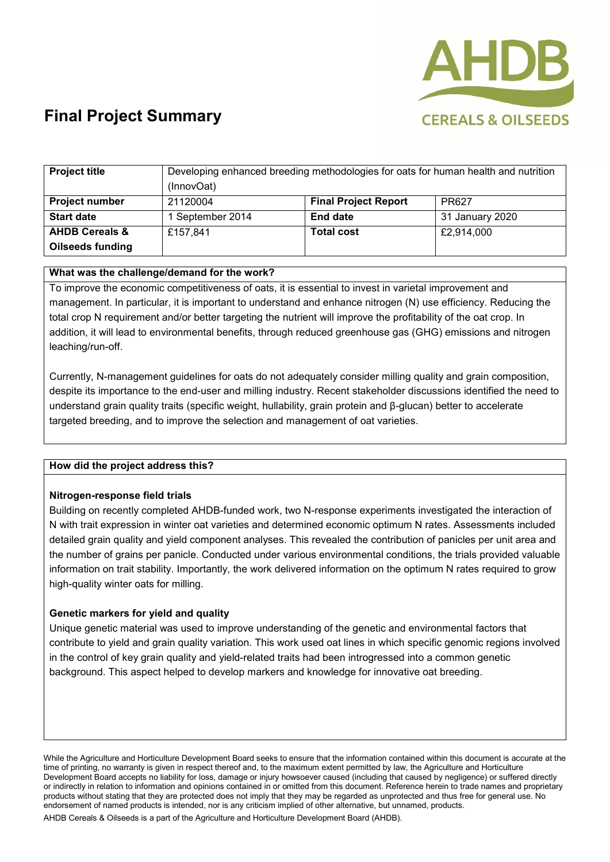

# **Final Project Summary**

| <b>Project title</b>      | Developing enhanced breeding methodologies for oats for human health and nutrition |                             |                 |
|---------------------------|------------------------------------------------------------------------------------|-----------------------------|-----------------|
|                           | (InnovOat)                                                                         |                             |                 |
| <b>Project number</b>     | 21120004                                                                           | <b>Final Project Report</b> | PR627           |
| <b>Start date</b>         | 1 September 2014                                                                   | <b>End date</b>             | 31 January 2020 |
| <b>AHDB Cereals &amp;</b> | £157,841                                                                           | <b>Total cost</b>           | £2,914,000      |
| <b>Oilseeds funding</b>   |                                                                                    |                             |                 |

### **What was the challenge/demand for the work?**

To improve the economic competitiveness of oats, it is essential to invest in varietal improvement and management. In particular, it is important to understand and enhance nitrogen (N) use efficiency. Reducing the total crop N requirement and/or better targeting the nutrient will improve the profitability of the oat crop. In addition, it will lead to environmental benefits, through reduced greenhouse gas (GHG) emissions and nitrogen leaching/run-off.

Currently, N-management guidelines for oats do not adequately consider milling quality and grain composition, despite its importance to the end-user and milling industry. Recent stakeholder discussions identified the need to understand grain quality traits (specific weight, hullability, grain protein and β-glucan) better to accelerate targeted breeding, and to improve the selection and management of oat varieties.

### **How did the project address this?**

### **Nitrogen-response field trials**

Building on recently completed AHDB-funded work, two N-response experiments investigated the interaction of N with trait expression in winter oat varieties and determined economic optimum N rates. Assessments included detailed grain quality and yield component analyses. This revealed the contribution of panicles per unit area and the number of grains per panicle. Conducted under various environmental conditions, the trials provided valuable information on trait stability. Importantly, the work delivered information on the optimum N rates required to grow high-quality winter oats for milling.

### **Genetic markers for yield and quality**

Unique genetic material was used to improve understanding of the genetic and environmental factors that contribute to yield and grain quality variation. This work used oat lines in which specific genomic regions involved in the control of key grain quality and yield-related traits had been introgressed into a common genetic background. This aspect helped to develop markers and knowledge for innovative oat breeding.

While the Agriculture and Horticulture Development Board seeks to ensure that the information contained within this document is accurate at the time of printing, no warranty is given in respect thereof and, to the maximum extent permitted by law, the Agriculture and Horticulture Development Board accepts no liability for loss, damage or injury howsoever caused (including that caused by negligence) or suffered directly or indirectly in relation to information and opinions contained in or omitted from this document. Reference herein to trade names and proprietary products without stating that they are protected does not imply that they may be regarded as unprotected and thus free for general use. No endorsement of named products is intended, nor is any criticism implied of other alternative, but unnamed, products.

AHDB Cereals & Oilseeds is a part of the Agriculture and Horticulture Development Board (AHDB).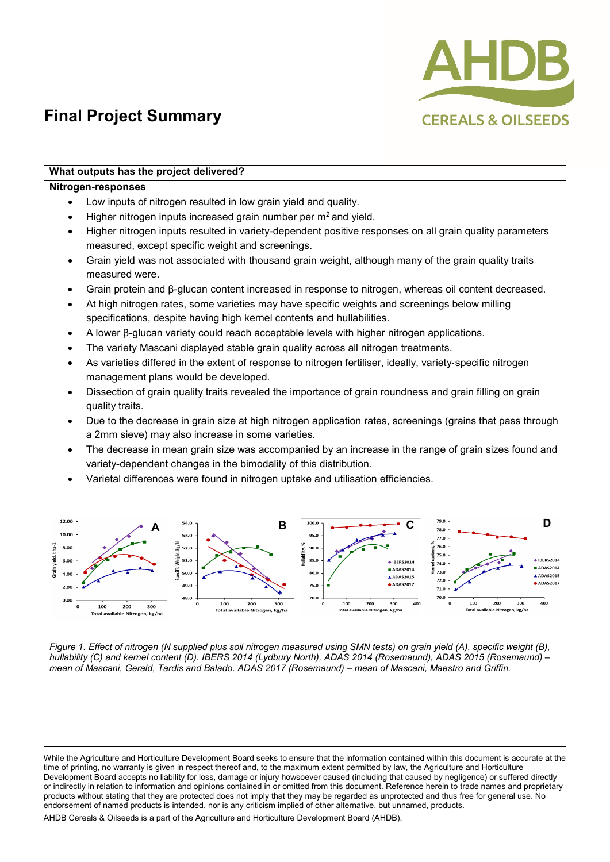

## **Final Project Summary**

| What outputs has the project delivered?                                                                                                                                 |  |  |  |
|-------------------------------------------------------------------------------------------------------------------------------------------------------------------------|--|--|--|
| Nitrogen-responses                                                                                                                                                      |  |  |  |
| Low inputs of nitrogen resulted in low grain yield and quality.                                                                                                         |  |  |  |
| Higher nitrogen inputs increased grain number per m <sup>2</sup> and yield.                                                                                             |  |  |  |
| Higher nitrogen inputs resulted in variety-dependent positive responses on all grain quality parameters<br>measured, except specific weight and screenings.             |  |  |  |
| Grain yield was not associated with thousand grain weight, although many of the grain quality traits<br>$\bullet$<br>measured were.                                     |  |  |  |
| Grain protein and $\beta$ -glucan content increased in response to nitrogen, whereas oil content decreased.                                                             |  |  |  |
| At high nitrogen rates, some varieties may have specific weights and screenings below milling<br>specifications, despite having high kernel contents and hullabilities. |  |  |  |
| A lower $\beta$ -glucan variety could reach acceptable levels with higher nitrogen applications.<br>$\bullet$                                                           |  |  |  |
| The variety Mascani displayed stable grain quality across all nitrogen treatments.                                                                                      |  |  |  |
| As varieties differed in the extent of response to nitrogen fertiliser, ideally, variety-specific nitrogen<br>management plans would be developed.                      |  |  |  |
| Dissection of grain quality traits revealed the importance of grain roundness and grain filling on grain<br>quality traits.                                             |  |  |  |
| Due to the decrease in grain size at high nitrogen application rates, screenings (grains that pass through<br>a 2mm sieve) may also increase in some varieties.         |  |  |  |

- The decrease in mean grain size was accompanied by an increase in the range of grain sizes found and variety-dependent changes in the bimodality of this distribution.
- Varietal differences were found in nitrogen uptake and utilisation efficiencies.



*Figure 1. Effect of nitrogen (N supplied plus soil nitrogen measured using SMN tests) on grain yield (A), specific weight (B), hullability (C) and kernel content (D). IBERS 2014 (Lydbury North), ADAS 2014 (Rosemaund), ADAS 2015 (Rosemaund) – mean of Mascani, Gerald, Tardis and Balado. ADAS 2017 (Rosemaund) – mean of Mascani, Maestro and Griffin.*

While the Agriculture and Horticulture Development Board seeks to ensure that the information contained within this document is accurate at the time of printing, no warranty is given in respect thereof and, to the maximum extent permitted by law, the Agriculture and Horticulture Development Board accepts no liability for loss, damage or injury howsoever caused (including that caused by negligence) or suffered directly or indirectly in relation to information and opinions contained in or omitted from this document. Reference herein to trade names and proprietary products without stating that they are protected does not imply that they may be regarded as unprotected and thus free for general use. No endorsement of named products is intended, nor is any criticism implied of other alternative, but unnamed, products.

AHDB Cereals & Oilseeds is a part of the Agriculture and Horticulture Development Board (AHDB).